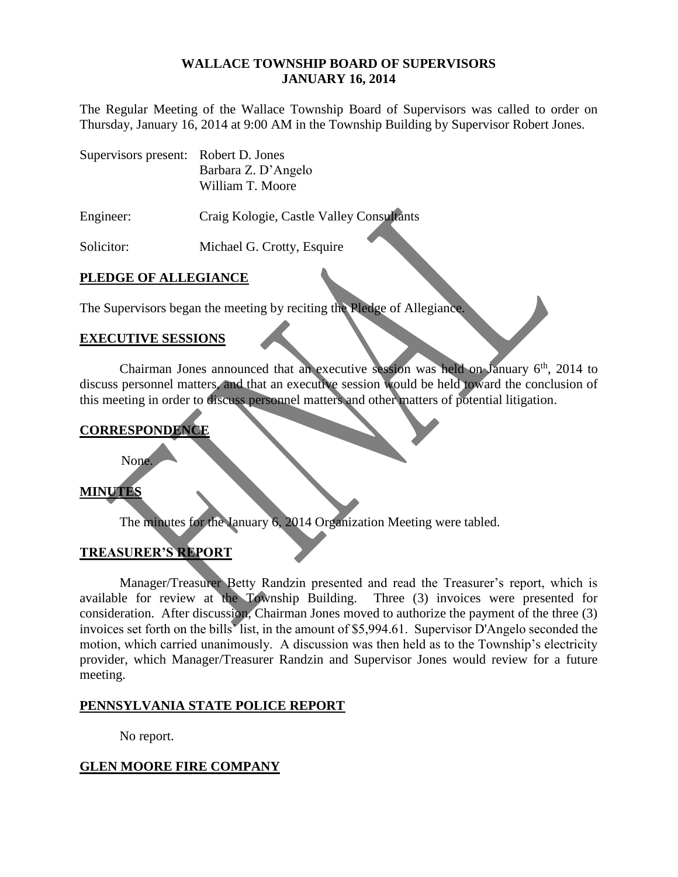#### **WALLACE TOWNSHIP BOARD OF SUPERVISORS JANUARY 16, 2014**

The Regular Meeting of the Wallace Township Board of Supervisors was called to order on Thursday, January 16, 2014 at 9:00 AM in the Township Building by Supervisor Robert Jones.

| Supervisors present: Robert D. Jones |                     |
|--------------------------------------|---------------------|
|                                      | Barbara Z. D'Angelo |
|                                      | William T. Moore    |

Engineer: Craig Kologie, Castle Valley Consultants

Solicitor: Michael G. Crotty, Esquire

# **PLEDGE OF ALLEGIANCE**

The Supervisors began the meeting by reciting the Pledge of Allegiance.

### **EXECUTIVE SESSIONS**

Chairman Jones announced that an executive session was held on January  $6<sup>th</sup>$ , 2014 to discuss personnel matters, and that an executive session would be held toward the conclusion of this meeting in order to discuss personnel matters and other matters of potential litigation.

### **CORRESPONDENCE**

None.

# **MINUTES**

The minutes for the January 6, 2014 Organization Meeting were tabled.

### **TREASURER'S REPORT**

Manager/Treasurer Betty Randzin presented and read the Treasurer's report, which is available for review at the Township Building. Three (3) invoices were presented for consideration. After discussion, Chairman Jones moved to authorize the payment of the three (3) invoices set forth on the bills' list, in the amount of \$5,994.61. Supervisor D'Angelo seconded the motion, which carried unanimously. A discussion was then held as to the Township's electricity provider, which Manager/Treasurer Randzin and Supervisor Jones would review for a future meeting.

### **PENNSYLVANIA STATE POLICE REPORT**

No report.

### **GLEN MOORE FIRE COMPANY**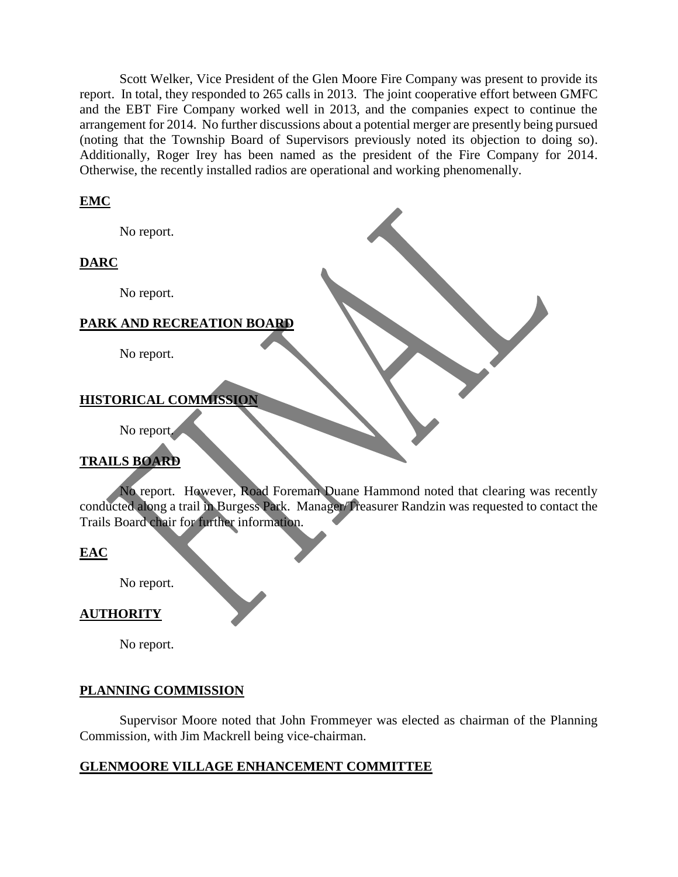Scott Welker, Vice President of the Glen Moore Fire Company was present to provide its report. In total, they responded to 265 calls in 2013. The joint cooperative effort between GMFC and the EBT Fire Company worked well in 2013, and the companies expect to continue the arrangement for 2014. No further discussions about a potential merger are presently being pursued (noting that the Township Board of Supervisors previously noted its objection to doing so). Additionally, Roger Irey has been named as the president of the Fire Company for 2014. Otherwise, the recently installed radios are operational and working phenomenally.

### **EMC**

No report.

# **DARC**

No report.

### **PARK AND RECREATION BOARD**

No report.

# **HISTORICAL COMMISSION**

No report.

# **TRAILS BOARD**

No report. However, Road Foreman Duane Hammond noted that clearing was recently conducted along a trail in Burgess Park. Manager/Treasurer Randzin was requested to contact the Trails Board chair for further information.

### **EAC**

No report.

### **AUTHORITY**

No report.

### **PLANNING COMMISSION**

Supervisor Moore noted that John Frommeyer was elected as chairman of the Planning Commission, with Jim Mackrell being vice-chairman.

### **GLENMOORE VILLAGE ENHANCEMENT COMMITTEE**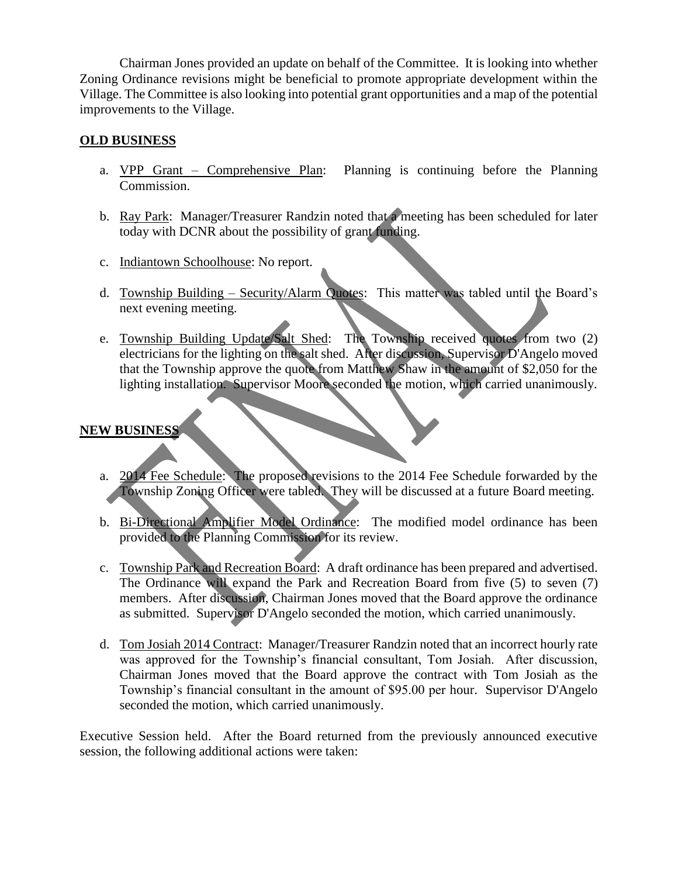Chairman Jones provided an update on behalf of the Committee. It is looking into whether Zoning Ordinance revisions might be beneficial to promote appropriate development within the Village. The Committee is also looking into potential grant opportunities and a map of the potential improvements to the Village.

# **OLD BUSINESS**

- a. VPP Grant Comprehensive Plan: Planning is continuing before the Planning Commission.
- b. Ray Park: Manager/Treasurer Randzin noted that a meeting has been scheduled for later today with DCNR about the possibility of grant funding.
- c. Indiantown Schoolhouse: No report.
- d. Township Building Security/Alarm Quotes: This matter was tabled until the Board's next evening meeting.
- e. Township Building Update/Salt Shed: The Township received quotes from two (2) electricians for the lighting on the salt shed. After discussion, Supervisor D'Angelo moved that the Township approve the quote from Matthew Shaw in the amount of \$2,050 for the lighting installation. Supervisor Moore seconded the motion, which carried unanimously.

# **NEW BUSINESS**

- a. 2014 Fee Schedule: The proposed revisions to the 2014 Fee Schedule forwarded by the Township Zoning Officer were tabled. They will be discussed at a future Board meeting.
- b. Bi-Directional Amplifier Model Ordinance: The modified model ordinance has been provided to the Planning Commission for its review.
- c. Township Park and Recreation Board: A draft ordinance has been prepared and advertised. The Ordinance will expand the Park and Recreation Board from five (5) to seven (7) members. After discussion, Chairman Jones moved that the Board approve the ordinance as submitted. Supervisor D'Angelo seconded the motion, which carried unanimously.
- d. Tom Josiah 2014 Contract: Manager/Treasurer Randzin noted that an incorrect hourly rate was approved for the Township's financial consultant, Tom Josiah. After discussion, Chairman Jones moved that the Board approve the contract with Tom Josiah as the Township's financial consultant in the amount of \$95.00 per hour. Supervisor D'Angelo seconded the motion, which carried unanimously.

Executive Session held. After the Board returned from the previously announced executive session, the following additional actions were taken: